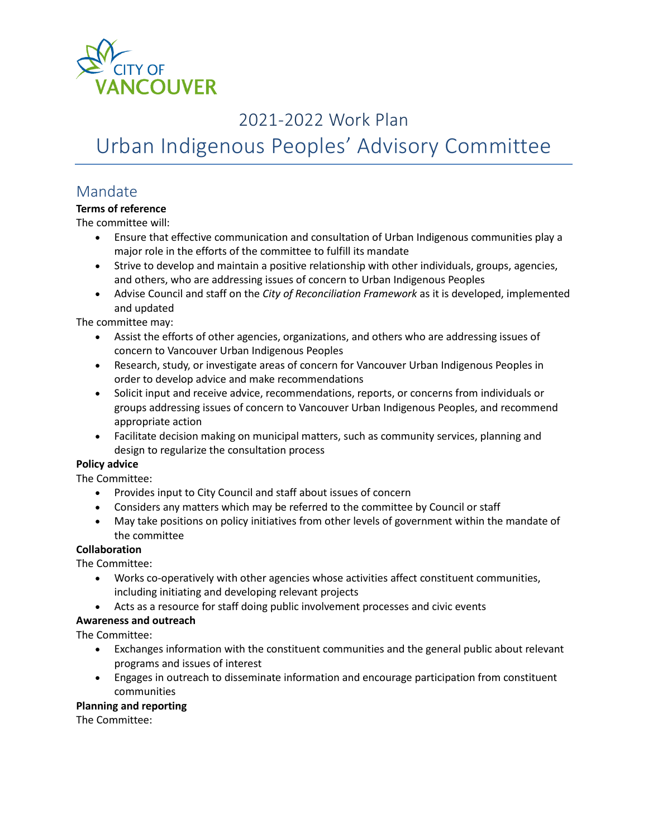

# 2021-2022 Work Plan

Urban Indigenous Peoples' Advisory Committee

## Mandate

### **Terms of reference**

The committee will:

- Ensure that effective communication and consultation of Urban Indigenous communities play a major role in the efforts of the committee to fulfill its mandate
- Strive to develop and maintain a positive relationship with other individuals, groups, agencies, and others, who are addressing issues of concern to Urban Indigenous Peoples
- Advise Council and staff on the *City of Reconciliation Framework* as it is developed, implemented and updated

The committee may:

- Assist the efforts of other agencies, organizations, and others who are addressing issues of concern to Vancouver Urban Indigenous Peoples
- Research, study, or investigate areas of concern for Vancouver Urban Indigenous Peoples in order to develop advice and make recommendations
- Solicit input and receive advice, recommendations, reports, or concerns from individuals or groups addressing issues of concern to Vancouver Urban Indigenous Peoples, and recommend appropriate action
- Facilitate decision making on municipal matters, such as community services, planning and design to regularize the consultation process

### **Policy advice**

The Committee:

- Provides input to City Council and staff about issues of concern
- Considers any matters which may be referred to the committee by Council or staff
- May take positions on policy initiatives from other levels of government within the mandate of the committee

#### **Collaboration**

The Committee:

- Works co-operatively with other agencies whose activities affect constituent communities, including initiating and developing relevant projects
- Acts as a resource for staff doing public involvement processes and civic events

#### **Awareness and outreach**

The Committee:

- Exchanges information with the constituent communities and the general public about relevant programs and issues of interest
- Engages in outreach to disseminate information and encourage participation from constituent communities

#### **Planning and reporting**

The Committee: